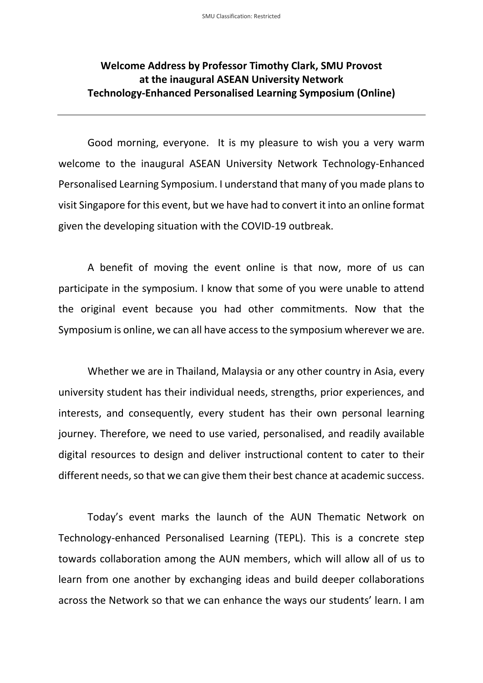## **Welcome Address by Professor Timothy Clark, SMU Provost at the inaugural ASEAN University Network Technology-Enhanced Personalised Learning Symposium (Online)**

Good morning, everyone. It is my pleasure to wish you a very warm welcome to the inaugural ASEAN University Network Technology-Enhanced Personalised Learning Symposium. I understand that many of you made plans to visit Singapore for this event, but we have had to convert it into an online format given the developing situation with the COVID-19 outbreak.

A benefit of moving the event online is that now, more of us can participate in the symposium. I know that some of you were unable to attend the original event because you had other commitments. Now that the Symposium is online, we can all have access to the symposium wherever we are.

Whether we are in Thailand, Malaysia or any other country in Asia, every university student has their individual needs, strengths, prior experiences, and interests, and consequently, every student has their own personal learning journey. Therefore, we need to use varied, personalised, and readily available digital resources to design and deliver instructional content to cater to their different needs, so that we can give them their best chance at academic success.

Today's event marks the launch of the AUN Thematic Network on Technology-enhanced Personalised Learning (TEPL). This is a concrete step towards collaboration among the AUN members, which will allow all of us to learn from one another by exchanging ideas and build deeper collaborations across the Network so that we can enhance the ways our students' learn. I am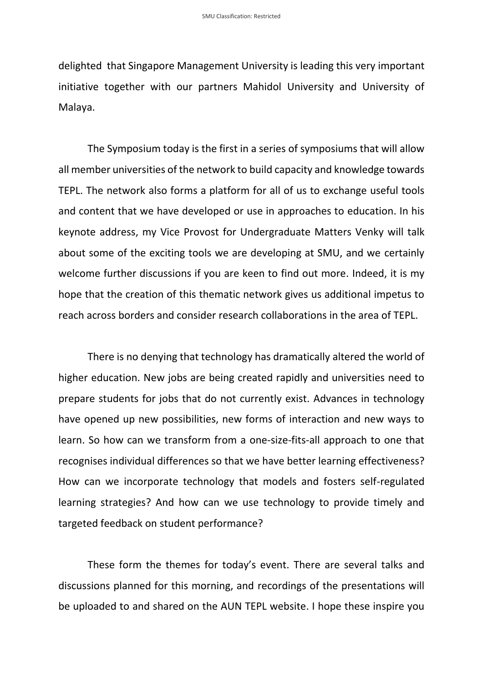delighted that Singapore Management University is leading this very important initiative together with our partners Mahidol University and University of Malaya.

The Symposium today is the first in a series of symposiums that will allow all member universities of the network to build capacity and knowledge towards TEPL. The network also forms a platform for all of us to exchange useful tools and content that we have developed or use in approaches to education. In his keynote address, my Vice Provost for Undergraduate Matters Venky will talk about some of the exciting tools we are developing at SMU, and we certainly welcome further discussions if you are keen to find out more. Indeed, it is my hope that the creation of this thematic network gives us additional impetus to reach across borders and consider research collaborations in the area of TEPL.

There is no denying that technology has dramatically altered the world of higher education. New jobs are being created rapidly and universities need to prepare students for jobs that do not currently exist. Advances in technology have opened up new possibilities, new forms of interaction and new ways to learn. So how can we transform from a one-size-fits-all approach to one that recognises individual differences so that we have better learning effectiveness? How can we incorporate technology that models and fosters self-regulated learning strategies? And how can we use technology to provide timely and targeted feedback on student performance?

These form the themes for today's event. There are several talks and discussions planned for this morning, and recordings of the presentations will be uploaded to and shared on the AUN TEPL website. I hope these inspire you